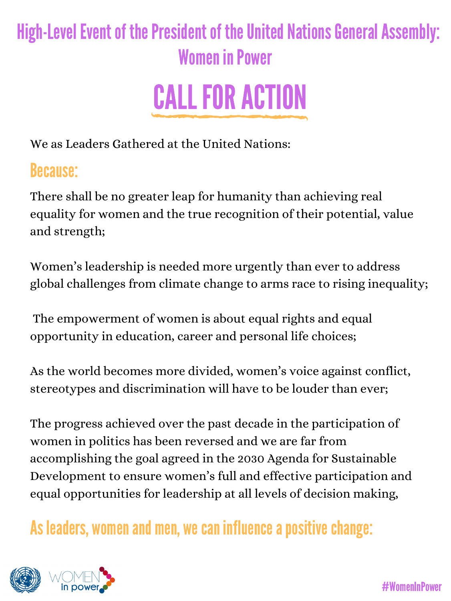We as Leaders Gathered at the United Nations:

There shall be no greater leap for humanity than achieving real equality for women and the true recognition of their potential, value and strength;

Women's leadership is needed more urgently than ever to address global challenges from climate change to arms race to rising inequality;

The empowerment of women is about equal rights and equal opportunity in education, career and personal life choices;

As the world becomes more divided, women's voice against conflict, stereotypes and discrimination will have to be louder than ever;

The progress achieved over the past decade in the participation of women in politics has been reversed and we are far from accomplishing the goal agreed in the 2030 Agenda for Sustainable Development to ensure women's full and effective participation and equal opportunities for leadership at all levels of decision making,

As leaders, women and men, we can influence a positive change:



## Because:

## High-Level Event of the President of the United Nations General Assembly: Women in Power



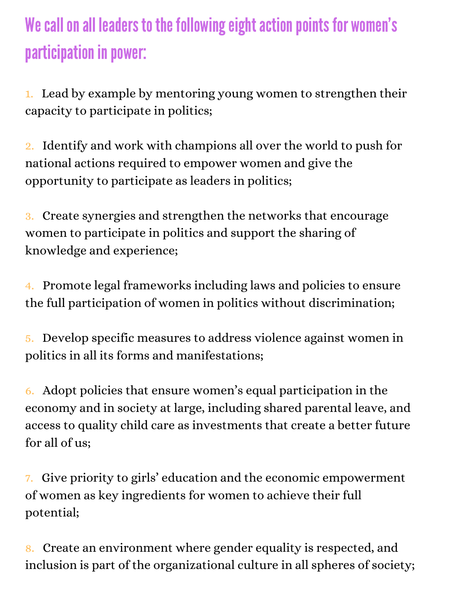## We call on all leaders to the following eight action points for women's participation in power:

1. Lead by example by mentoring young women to strengthen their capacity to participate in politics;

2. Identify and work with champions all over the world to push for national actions required to empower women and give the opportunity to participate as leaders in politics;

3. Create synergies and strengthen the networks that encourage women to participate in politics and support the sharing of knowledge and experience;

4. Promote legal frameworks including laws and policies to ensure the full participation of women in politics without discrimination;

5. Develop specific measures to address violence against women in politics in all its forms and manifestations;

6. Adopt policies that ensure women's equal participation in the economy and in society at large, including shared parental leave, and access to quality child care as investments that create a better future for all of us;

7. Give priority to girls' education and the economic empowerment of women as key ingredients for women to achieve their full potential;

8. Create an environment where gender equality is respected, and inclusion is part of the organizational culture in all spheres of society;